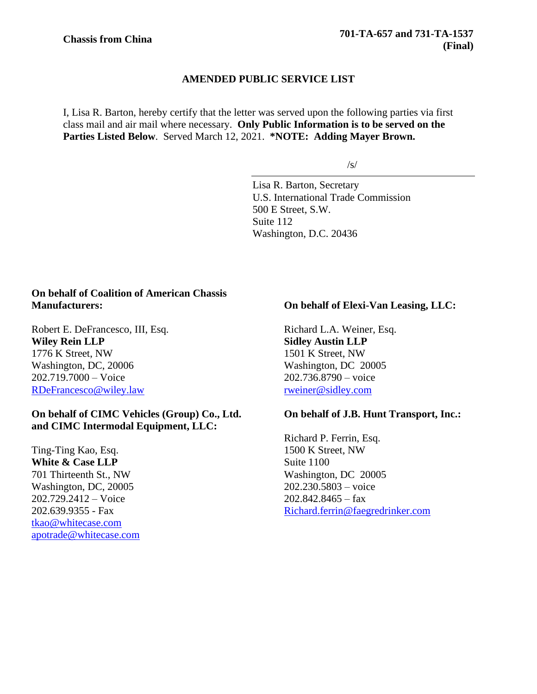# **AMENDED PUBLIC SERVICE LIST**

I, Lisa R. Barton, hereby certify that the letter was served upon the following parties via first class mail and air mail where necessary. **Only Public Information is to be served on the Parties Listed Below**. Served March 12, 2021. **\*NOTE: Adding Mayer Brown.**

 $/s/$ 

Lisa R. Barton, Secretary U.S. International Trade Commission 500 E Street, S.W. Suite 112 Washington, D.C. 20436

# **On behalf of Coalition of American Chassis Manufacturers:**

Robert E. DeFrancesco, III, Esq. **Wiley Rein LLP** 1776 K Street, NW Washington, DC, 20006 202.719.7000 – Voice [RDeFrancesco@wiley.law](mailto:RDeFrancesco@wiley.law)

### **On behalf of CIMC Vehicles (Group) Co., Ltd. and CIMC Intermodal Equipment, LLC:**

Ting-Ting Kao, Esq. **White & Case LLP** 701 Thirteenth St., NW Washington, DC, 20005 202.729.2412 – Voice 202.639.9355 - Fax [tkao@whitecase.com](mailto:tkao@whitecase.com) [apotrade@whitecase.com](mailto:apotrade@whitecase.com)

# **On behalf of Elexi-Van Leasing, LLC:**

Richard L.A. Weiner, Esq. **Sidley Austin LLP** 1501 K Street, NW Washington, DC 20005 202.736.8790 – voice [rweiner@sidley.com](mailto:rweiner@sidley.com)

### **On behalf of J.B. Hunt Transport, Inc.:**

Richard P. Ferrin, Esq. 1500 K Street, NW Suite 1100 Washington, DC 20005 202.230.5803 – voice  $202.842.8465 - fax$ [Richard.ferrin@faegredrinker.com](mailto:Richard.ferrin@faegredrinker.com)